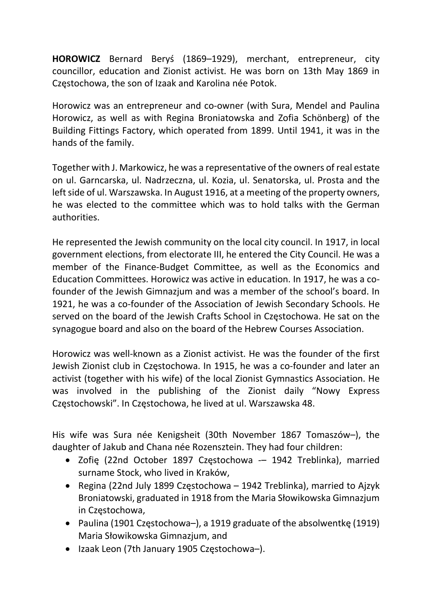HOROWICZ Bernard Beryś (1869–1929), merchant, entrepreneur, city councillor, education and Zionist activist. He was born on 13th May 1869 in Częstochowa, the son of Izaak and Karolina née Potok.

Horowicz was an entrepreneur and co-owner (with Sura, Mendel and Paulina Horowicz, as well as with Regina Broniatowska and Zofia Schönberg) of the Building Fittings Factory, which operated from 1899. Until 1941, it was in the hands of the family.

Together with J. Markowicz, he was a representative of the owners of real estate on ul. Garncarska, ul. Nadrzeczna, ul. Kozia, ul. Senatorska, ul. Prosta and the left side of ul. Warszawska. In August 1916, at a meeting of the property owners, he was elected to the committee which was to hold talks with the German authorities.

He represented the Jewish community on the local city council. In 1917, in local government elections, from electorate III, he entered the City Council. He was a member of the Finance-Budget Committee, as well as the Economics and Education Committees. Horowicz was active in education. In 1917, he was a cofounder of the Jewish Gimnazjum and was a member of the school's board. In 1921, he was a co-founder of the Association of Jewish Secondary Schools. He served on the board of the Jewish Crafts School in Częstochowa. He sat on the synagogue board and also on the board of the Hebrew Courses Association.

Horowicz was well-known as a Zionist activist. He was the founder of the first Jewish Zionist club in Częstochowa. In 1915, he was a co-founder and later an activist (together with his wife) of the local Zionist Gymnastics Association. He was involved in the publishing of the Zionist daily "Nowy Express Częstochowski". In Częstochowa, he lived at ul. Warszawska 48.

His wife was Sura née Kenigsheit (30th November 1867 Tomaszów–), the daughter of Jakub and Chana née Rozensztein. They had four children:

- Zofię (22nd October 1897 Częstochowa 1942 Treblinka), married surname Stock, who lived in Kraków,
- Regina (22nd July 1899 Częstochowa 1942 Treblinka), married to Ajzyk Broniatowski, graduated in 1918 from the Maria Słowikowska Gimnazjum in Częstochowa,
- Paulina (1901 Częstochowa–), a 1919 graduate of the absolwentkę (1919) Maria Słowikowska Gimnazjum, and
- Izaak Leon (7th January 1905 Częstochowa–).